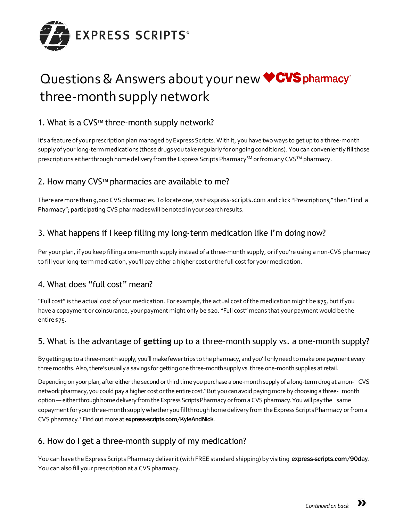

# Questions & Answers about your new **CVS** pharmacy<sup>®</sup> three-month supply network

## 1. What is a CVS**TM** three-month supply network?

It's a feature of your prescription plan managed by Express Scripts. With it, you have two ways to get up to a three-month supply of your long-term medications (those drugs you take regularly for ongoing conditions). You can conveniently fill those prescriptions either through home delivery from the Express Scripts Pharmacy<sup>SM</sup> or from any CVS™ pharmacy.

## 2. How many CVS<sup>™</sup> pharmacies are available to me?

There are more than 9,000 CVS pharmacies. To locate one, visit express-scripts.com and click "Prescriptions," then "Find a Pharmacy"; participating CVS pharmacies will be noted in your search results.

## 3. What happens if I keep filling my long-term medication like I'm doing now?

Per your plan, if you keep filling a one-month supply instead of a three-month supply, orif you're using a non-CVS pharmacy to fill your long-term medication, you'll pay either a higher cost orthe full cost for your medication.

#### 4. What does "full cost" mean?

"Full cost" is the actual cost of your medication. For example, the actual cost of the medication might be \$75, but if you have a copayment or coinsurance, your payment might only be \$20."Full cost" means that your payment would be the entire \$75.

#### 5. What is the advantage of **getting** up to a three-month supply vs. a one-month supply?

By getting up to a three-month supply, you'll make fewer trips to the pharmacy, and you'll only need to make one payment every three months. Also, there's usually a savings for getting one three-month supply vs. three one-month supplies at retail.

Depending on your plan, after either the second or third time you purchase a one-month supply of a long-term drug at a non- CVS network pharmacy, you could pay a higher cost or the entire cost.<sup>1</sup> But you can avoid paying more by choosing a three- month option — either through home delivery from the Express Scripts Pharmacy or from a CVS pharmacy. You will pay the same copayment for your three-month supply whether you fill through home delivery from the Express Scripts Pharmacy or from a CVS pharmacy.<sup>2</sup> Find out more at express-scripts.com/KyleAndNick.

## 6. How do I get a three-month supply of my medication?

You can have the Express Scripts Pharmacy deliver it (with FREE standard shipping) by visiting express-scripts.com/90day. You can also fill your prescription at a CVS pharmacy.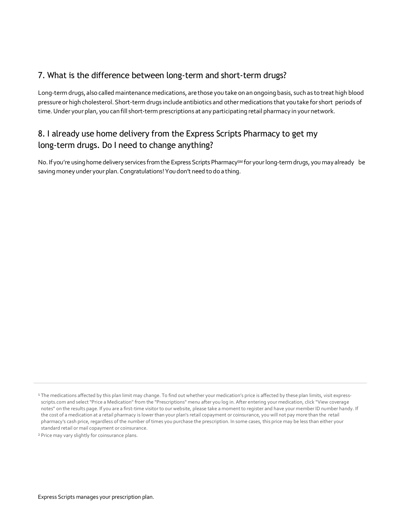## 7. What is the difference between long-term and short-term drugs?

Long-term drugs, also called maintenance medications, are those you take on an ongoing basis, such as to treat high blood pressure or high cholesterol. Short-term drugs include antibiotics and other medications that you take for short periods of time. Under your plan, you can fill short-term prescriptions at any participating retail pharmacy in your network.

# 8. I already use home delivery from the Express Scripts Pharmacy to get my long-term drugs. Do I need to change anything?

No. If you're using home delivery services from the Express Scripts Pharmacy<sup>SM</sup> for your long-term drugs, you may already be saving money under your plan. Congratulations! You don't need to do a thing.

<sup>&</sup>lt;sup>1</sup> The medications affected by this plan limit may change. To find out whether your medication's price is affected by these plan limits, visit expressscripts.com and select"Price a Medication" from the "Prescriptions" menu after you log in. After entering your medication, click "View coverage notes" on the results page. If you are a first-time visitor to our website, please take a momentto register and have your member ID number handy. If the cost of a medication at a retail pharmacy is lower than your plan's retail copayment or coinsurance, you will not pay more than the retail pharmacy's cash price, regardless of the number of times you purchase the prescription. In some cases, this price may be less than either your standard retail or mail copayment or coinsurance.

<sup>2</sup> Price may vary slightly for coinsurance plans.